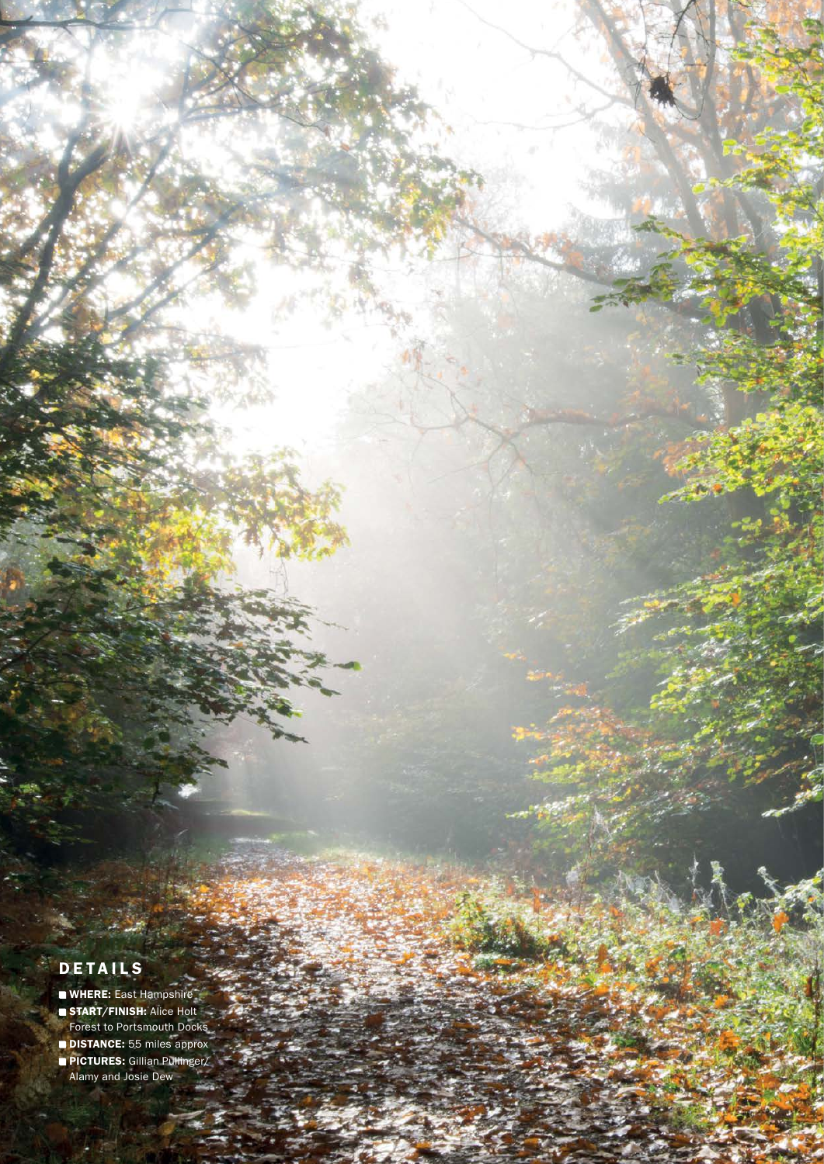## **DETAILS**

- WHERE: East Hampshire
- **START/FINISH: Alice Holt**
- Forest to Portsmouth Docks
- **DISTANCE:** 55 miles approx
- PICTURES: Gillian Pullinger/ Alamy and Josie Dew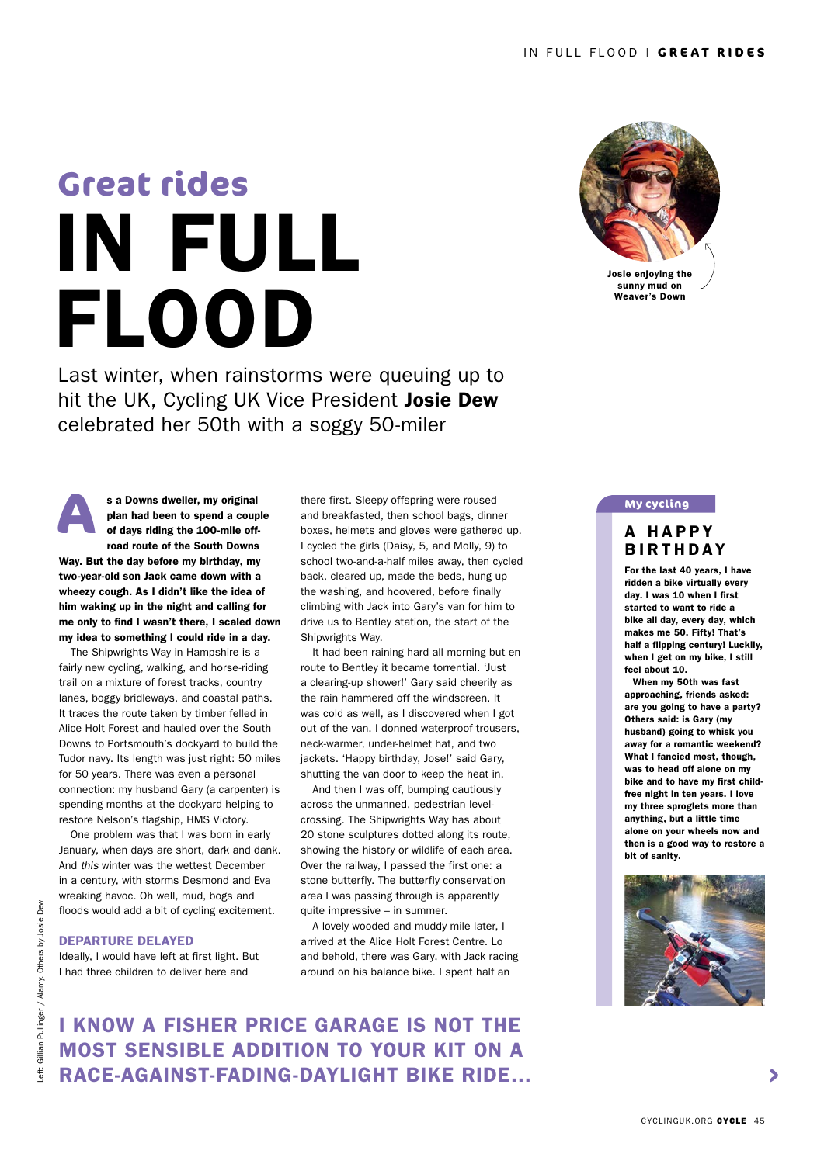# IN FULL FLOOD **Great rides**

Last winter, when rainstorms were queuing up to hit the UK, Cycling UK Vice President Josie Dew celebrated her 50th with a soggy 50-miler

**A** s a Downs dweller, my original plan had been to spend a couple of days riding the 100-mile offroad route of the South Downs Way. But the day before my birthday, my two-year-old son Jack came down with a wheezy cough. As I didn't like the idea of him waking up in the night and calling for me only to find I wasn't there, I scaled down my idea to something I could ride in a day.

The Shipwrights Way in Hampshire is a fairly new cycling, walking, and horse-riding trail on a mixture of forest tracks, country lanes, boggy bridleways, and coastal paths. It traces the route taken by timber felled in Alice Holt Forest and hauled over the South Downs to Portsmouth's dockyard to build the Tudor navy. Its length was just right: 50 miles for 50 years. There was even a personal connection: my husband Gary (a carpenter) is spending months at the dockyard helping to restore Nelson's flagship, HMS Victory.

One problem was that I was born in early January, when days are short, dark and dank. And *this* winter was the wettest December in a century, with storms Desmond and Eva wreaking havoc. Oh well, mud, bogs and floods would add a bit of cycling excitement.

### DEPARTURE DELAYED

Ideally, I would have left at first light. But I had three children to deliver here and

there first. Sleepy offspring were roused and breakfasted, then school bags, dinner boxes, helmets and gloves were gathered up. I cycled the girls (Daisy, 5, and Molly, 9) to school two-and-a-half miles away, then cycled back, cleared up, made the beds, hung up the washing, and hoovered, before finally climbing with Jack into Gary's van for him to drive us to Bentley station, the start of the Shipwrights Way.

It had been raining hard all morning but en route to Bentley it became torrential. 'Just a clearing-up shower!' Gary said cheerily as the rain hammered off the windscreen. It was cold as well, as I discovered when I got out of the van. I donned waterproof trousers, neck-warmer, under-helmet hat, and two jackets. 'Happy birthday, Jose!' said Gary, shutting the van door to keep the heat in.

And then I was off, bumping cautiously across the unmanned, pedestrian levelcrossing. The Shipwrights Way has about 20 stone sculptures dotted along its route, showing the history or wildlife of each area. Over the railway, I passed the first one: a stone butterfly. The butterfly conservation area I was passing through is apparently quite impressive – in summer.

A lovely wooded and muddy mile later, I arrived at the Alice Holt Forest Centre. Lo and behold, there was Gary, with Jack racing around on his balance bike. I spent half an



Josie enjoying the sunny mud on Weaver's Down

#### **My cycling**

## A HAPPY BIRTHDAY

For the last 40 years, I have ridden a bike virtually every day. I was 10 when I first started to want to ride a bike all day, every day, which makes me 50. Fifty! That's half a flipping century! Luckily, when I get on my bike, I still feel about 10.

When my 50th was fast approaching, friends asked: are you going to have a party? Others said: is Gary (my husband) going to whisk you away for a romantic weekend? What I fancied most, though, was to head off alone on my bike and to have my first childfree night in ten years. I love my three sproglets more than anything, but a little time alone on your wheels now and then is a good way to restore a bit of sanity.



I KNOW A FISHER PRICE GARAGE IS NOT THE MOST SENSIBLE ADDITION TO YOUR KIT ON A RACE-AGAINST-FADING-DAYLIGHT BIKE RIDE…